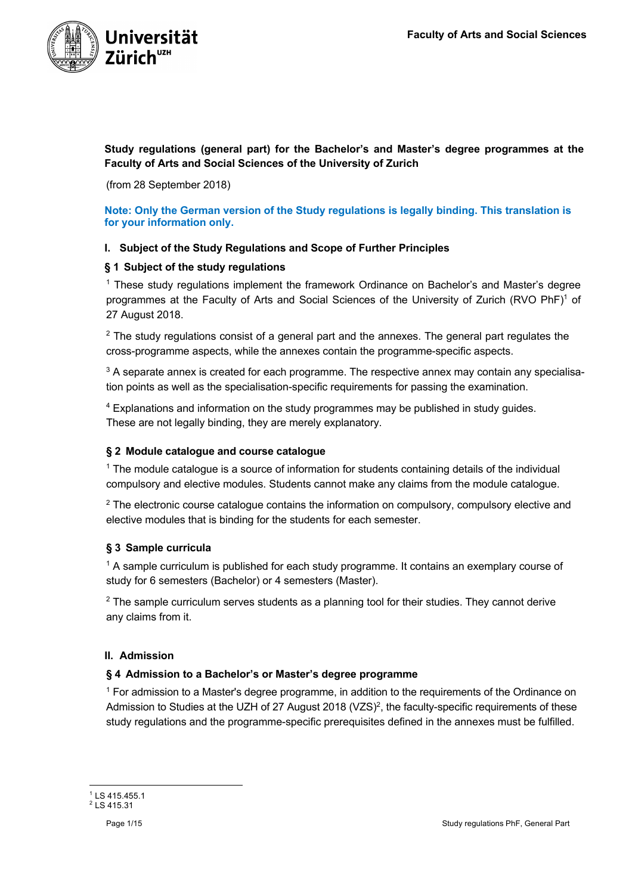

**Study regulations (general part) for the Bachelor's and Master's degree programmes at the Faculty of Arts and Social Sciences of the University of Zurich**

(from 28 September 2018)

**Note: Only the German version of the Study regulations is legally binding. This translation is for your information only.**

# **I. Subject of the Study Regulations and Scope of Further Principles**

#### **§ 1 Subject of the study regulations**

<sup>1</sup> These study regulations implement the framework Ordinance on Bachelor's and Master's degree programmes at the Faculty of Arts and Social Sciences of the University of Zurich (RVO PhF)<sup>1</sup> of 27 August 2018.

 $2$  The study regulations consist of a general part and the annexes. The general part regulates the cross-programme aspects, while the annexes contain the programme-specific aspects.

<sup>3</sup> A separate annex is created for each programme. The respective annex may contain any specialisation points as well as the specialisation-specific requirements for passing the examination.

<sup>4</sup> Explanations and information on the study programmes may be published in study guides. These are not legally binding, they are merely explanatory.

#### **§ 2 Module catalogue and course catalogue**

<sup>1</sup> The module catalogue is a source of information for students containing details of the individual compulsory and elective modules. Students cannot make any claims from the module catalogue.

 $2$  The electronic course catalogue contains the information on compulsory, compulsory elective and elective modules that is binding for the students for each semester.

# **§ 3 Sample curricula**

 $<sup>1</sup>$  A sample curriculum is published for each study programme. It contains an exemplary course of</sup> study for 6 semesters (Bachelor) or 4 semesters (Master).

 $2$  The sample curriculum serves students as a planning tool for their studies. They cannot derive any claims from it.

#### **II. Admission**

#### **§ 4 Admission to a Bachelor's or Master's degree programme**

 $1$  For admission to a Master's degree programme, in addition to the requirements of the Ordinance on Admission to Studies at the UZH of 27 August 2018 (VZS)<sup>2</sup>, the faculty-specific requirements of these study regulations and the programme-specific prerequisites defined in the annexes must be fulfilled.

 $1$  LS 415.455.1 <sup>2</sup> LS 415.31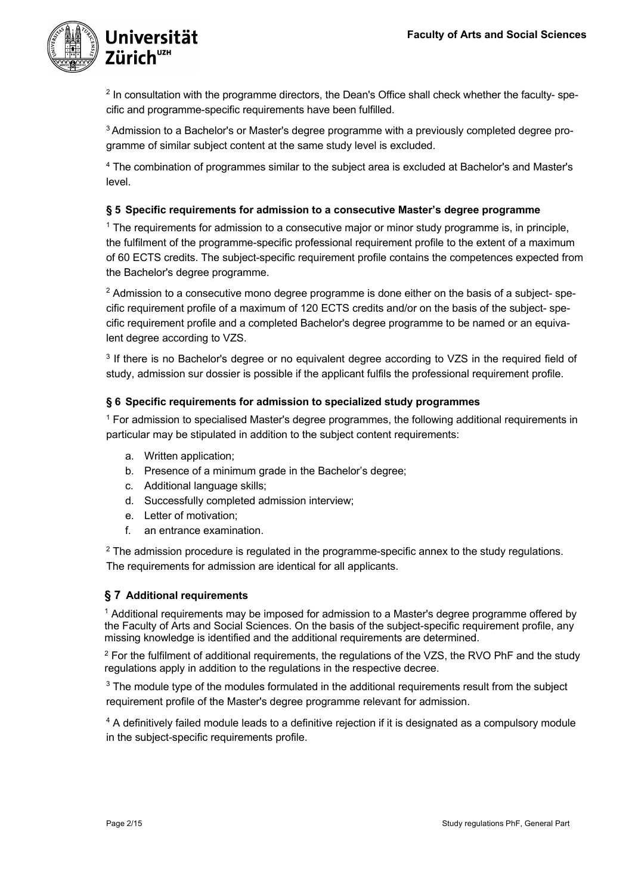

<sup>2</sup> In consultation with the programme directors, the Dean's Office shall check whether the faculty- specific and programme-specific requirements have been fulfilled.

<sup>3</sup> Admission to a Bachelor's or Master's degree programme with a previously completed degree programme of similar subject content at the same study level is excluded.

<sup>4</sup> The combination of programmes similar to the subject area is excluded at Bachelor's and Master's level.

# **§ 5 Specific requirements for admission to a consecutive Master's degree programme**

<sup>1</sup> The requirements for admission to a consecutive major or minor study programme is, in principle, the fulfilment of the programme-specific professional requirement profile to the extent of a maximum of 60 ECTS credits. The subject-specific requirement profile contains the competences expected from the Bachelor's degree programme.

 $2$  Admission to a consecutive mono degree programme is done either on the basis of a subject- specific requirement profile of a maximum of 120 ECTS credits and/or on the basis of the subject- specific requirement profile and a completed Bachelor's degree programme to be named or an equivalent degree according to VZS.

<sup>3</sup> If there is no Bachelor's degree or no equivalent degree according to VZS in the required field of study, admission sur dossier is possible if the applicant fulfils the professional requirement profile.

# **§ 6 Specific requirements for admission to specialized study programmes**

<sup>1</sup> For admission to specialised Master's degree programmes, the following additional requirements in particular may be stipulated in addition to the subject content requirements:

- a. Written application;
- b. Presence of a minimum grade in the Bachelor's degree;
- c. Additional language skills;
- d. Successfully completed admission interview;
- e. Letter of motivation;
- f. an entrance examination.

<sup>2</sup> The admission procedure is regulated in the programme-specific annex to the study regulations. The requirements for admission are identical for all applicants.

# **§ 7 Additional requirements**

<sup>1</sup> Additional requirements may be imposed for admission to a Master's degree programme offered by the Faculty of Arts and Social Sciences. On the basis of the subject-specific requirement profile, any missing knowledge is identified and the additional requirements are determined.

 $2$  For the fulfilment of additional requirements, the requiations of the VZS, the RVO PhF and the study regulations apply in addition to the regulations in the respective decree.

<sup>3</sup> The module type of the modules formulated in the additional requirements result from the subject requirement profile of the Master's degree programme relevant for admission.

<sup>4</sup> A definitively failed module leads to a definitive rejection if it is designated as a compulsory module in the subject-specific requirements profile.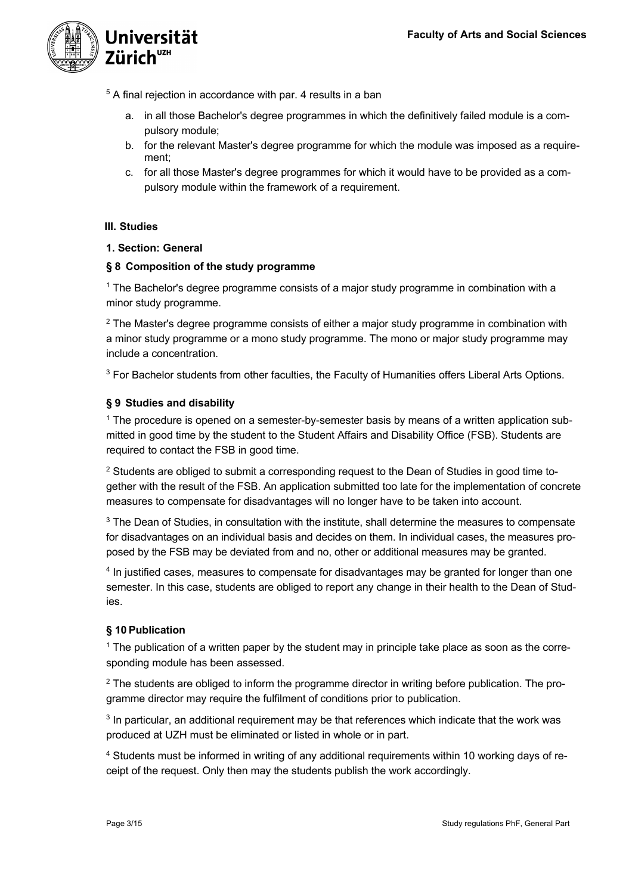

<sup>5</sup> A final rejection in accordance with par. 4 results in a ban

- a. in all those Bachelor's degree programmes in which the definitively failed module is a compulsory module;
- b. for the relevant Master's degree programme for which the module was imposed as a requirement;
- c. for all those Master's degree programmes for which it would have to be provided as a compulsory module within the framework of a requirement.

# **III. Studies**

# **1. Section: General**

# **§ 8 Composition of the study programme**

<sup>1</sup> The Bachelor's degree programme consists of a major study programme in combination with a minor study programme.

 $2$  The Master's degree programme consists of either a major study programme in combination with a minor study programme or a mono study programme. The mono or major study programme may include a concentration.

<sup>3</sup> For Bachelor students from other faculties, the Faculty of Humanities offers Liberal Arts Options.

# **§ 9 Studies and disability**

<sup>1</sup> The procedure is opened on a semester-by-semester basis by means of a written application submitted in good time by the student to the Student Affairs and Disability Office (FSB). Students are required to contact the FSB in good time.

 $2$  Students are obliged to submit a corresponding request to the Dean of Studies in good time together with the result of the FSB. An application submitted too late for the implementation of concrete measures to compensate for disadvantages will no longer have to be taken into account.

<sup>3</sup> The Dean of Studies, in consultation with the institute, shall determine the measures to compensate for disadvantages on an individual basis and decides on them. In individual cases, the measures proposed by the FSB may be deviated from and no, other or additional measures may be granted.

<sup>4</sup> In justified cases, measures to compensate for disadvantages may be granted for longer than one semester. In this case, students are obliged to report any change in their health to the Dean of Studies.

# **§ 10 Publication**

<sup>1</sup> The publication of a written paper by the student may in principle take place as soon as the corresponding module has been assessed.

<sup>2</sup> The students are obliged to inform the programme director in writing before publication. The programme director may require the fulfilment of conditions prior to publication.

<sup>3</sup> In particular, an additional requirement may be that references which indicate that the work was produced at UZH must be eliminated or listed in whole or in part.

<sup>4</sup> Students must be informed in writing of any additional requirements within 10 working days of receipt of the request. Only then may the students publish the work accordingly.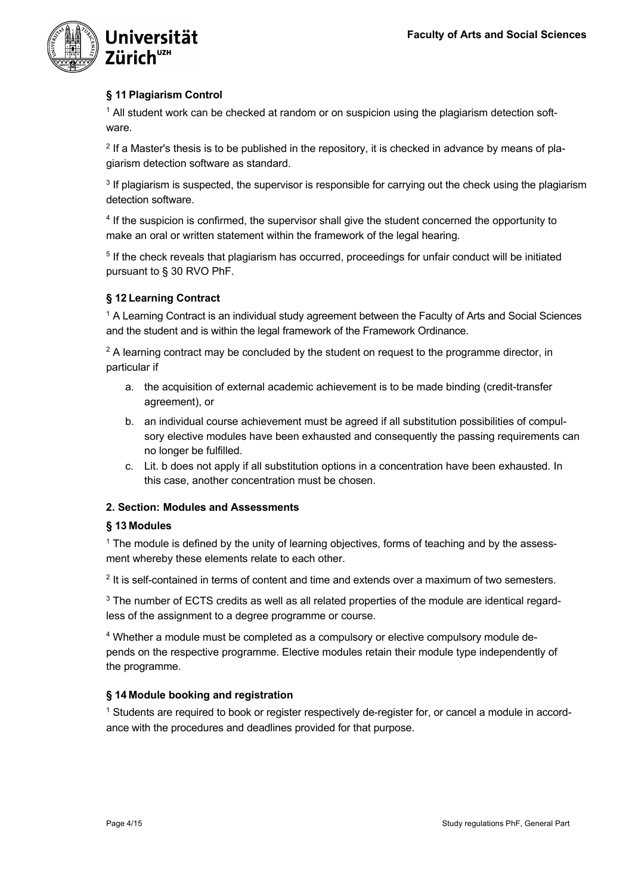

# **§ 11 Plagiarism Control**

 $1$  All student work can be checked at random or on suspicion using the plagiarism detection software.

 $<sup>2</sup>$  If a Master's thesis is to be published in the repository, it is checked in advance by means of pla-</sup> giarism detection software as standard.

<sup>3</sup> If plagiarism is suspected, the supervisor is responsible for carrying out the check using the plagiarism detection software.

<sup>4</sup> If the suspicion is confirmed, the supervisor shall give the student concerned the opportunity to make an oral or written statement within the framework of the legal hearing.

<sup>5</sup> If the check reveals that plagiarism has occurred, proceedings for unfair conduct will be initiated pursuant to § 30 RVO PhF.

# **§ 12 Learning Contract**

<sup>1</sup> A Learning Contract is an individual study agreement between the Faculty of Arts and Social Sciences and the student and is within the legal framework of the Framework Ordinance.

 $2$  A learning contract may be concluded by the student on request to the programme director, in particular if

- a. the acquisition of external academic achievement is to be made binding (credit-transfer agreement), or
- b. an individual course achievement must be agreed if all substitution possibilities of compulsory elective modules have been exhausted and consequently the passing requirements can no longer be fulfilled.
- c. Lit. b does not apply if all substitution options in a concentration have been exhausted. In this case, another concentration must be chosen.

# **2. Section: Modules and Assessments**

# **§ 13 Modules**

<sup>1</sup> The module is defined by the unity of learning objectives, forms of teaching and by the assessment whereby these elements relate to each other.

<sup>2</sup> It is self-contained in terms of content and time and extends over a maximum of two semesters.

<sup>3</sup> The number of ECTS credits as well as all related properties of the module are identical regardless of the assignment to a degree programme or course.

<sup>4</sup> Whether a module must be completed as a compulsory or elective compulsory module depends on the respective programme. Elective modules retain their module type independently of the programme.

# **§ 14 Module booking and registration**

<sup>1</sup> Students are required to book or register respectively de-register for, or cancel a module in accordance with the procedures and deadlines provided for that purpose.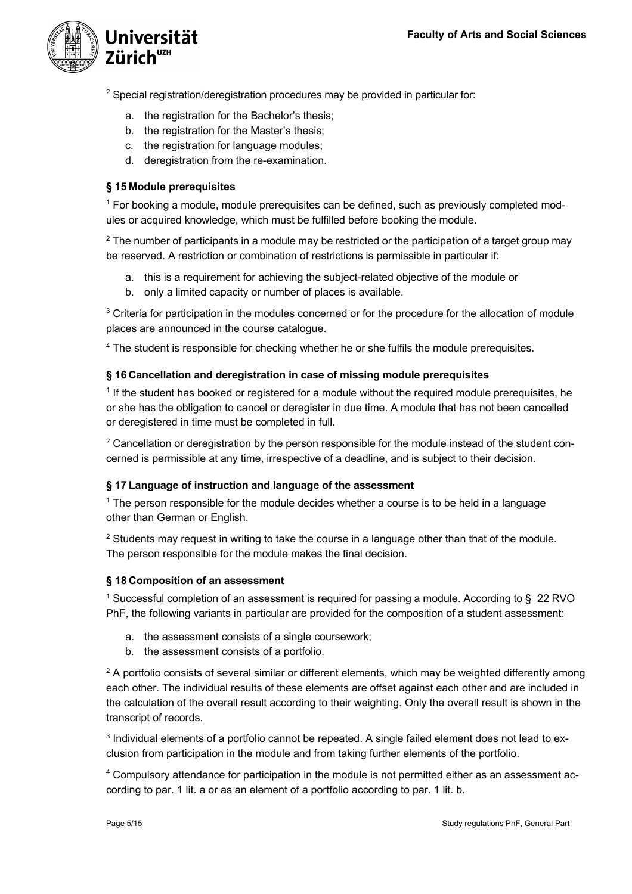

<sup>2</sup> Special registration/deregistration procedures may be provided in particular for:

- a. the registration for the Bachelor's thesis;
- b. the registration for the Master's thesis;
- c. the registration for language modules;
- d. deregistration from the re-examination.

# **§ 15 Module prerequisites**

<sup>1</sup> For booking a module, module prerequisites can be defined, such as previously completed modules or acquired knowledge, which must be fulfilled before booking the module.

<sup>2</sup> The number of participants in a module may be restricted or the participation of a target group may be reserved. A restriction or combination of restrictions is permissible in particular if:

- a. this is a requirement for achieving the subject-related objective of the module or
- b. only a limited capacity or number of places is available.

<sup>3</sup> Criteria for participation in the modules concerned or for the procedure for the allocation of module places are announced in the course catalogue.

<sup>4</sup> The student is responsible for checking whether he or she fulfils the module prerequisites.

#### **§ 16 Cancellation and deregistration in case of missing module prerequisites**

<sup>1</sup> If the student has booked or registered for a module without the required module prerequisites, he or she has the obligation to cancel or deregister in due time. A module that has not been cancelled or deregistered in time must be completed in full.

 $2$  Cancellation or deregistration by the person responsible for the module instead of the student concerned is permissible at any time, irrespective of a deadline, and is subject to their decision.

# **§ 17 Language of instruction and language of the assessment**

 $<sup>1</sup>$  The person responsible for the module decides whether a course is to be held in a language</sup> other than German or English.

 $2$  Students may request in writing to take the course in a language other than that of the module. The person responsible for the module makes the final decision.

#### **§ 18 Composition of an assessment**

<sup>1</sup> Successful completion of an assessment is required for passing a module. According to  $\S$  22 RVO PhF, the following variants in particular are provided for the composition of a student assessment:

- a. the assessment consists of a single coursework;
- b. the assessment consists of a portfolio.

 $2$  A portfolio consists of several similar or different elements, which may be weighted differently among each other. The individual results of these elements are offset against each other and are included in the calculation of the overall result according to their weighting. Only the overall result is shown in the transcript of records.

<sup>3</sup> Individual elements of a portfolio cannot be repeated. A single failed element does not lead to exclusion from participation in the module and from taking further elements of the portfolio.

<sup>4</sup> Compulsory attendance for participation in the module is not permitted either as an assessment according to par. 1 lit. a or as an element of a portfolio according to par. 1 lit. b.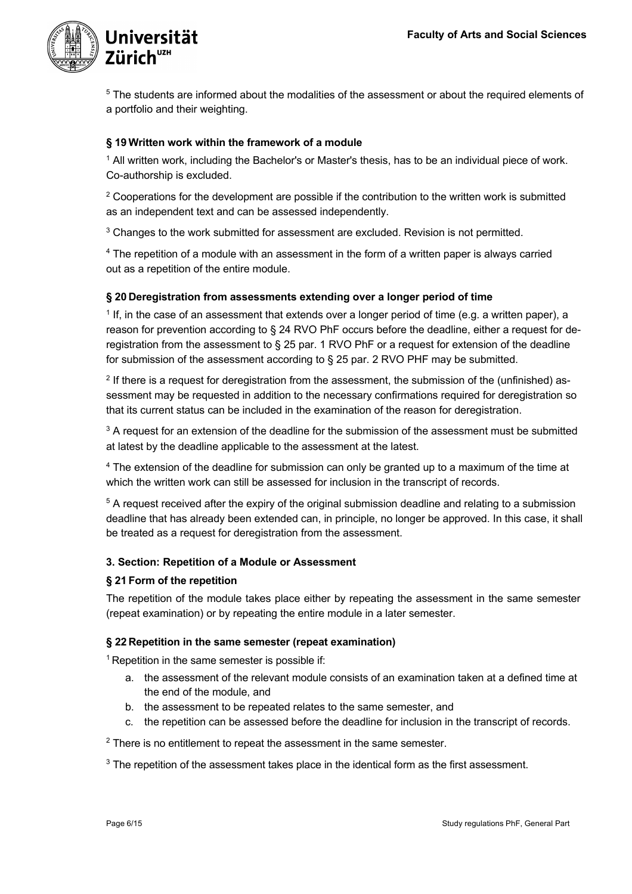

<sup>5</sup> The students are informed about the modalities of the assessment or about the required elements of a portfolio and their weighting.

#### **§ 19 Written work within the framework of a module**

<sup>1</sup> All written work, including the Bachelor's or Master's thesis, has to be an individual piece of work. Co-authorship is excluded.

 $2$  Cooperations for the development are possible if the contribution to the written work is submitted as an independent text and can be assessed independently.

<sup>3</sup> Changes to the work submitted for assessment are excluded. Revision is not permitted.

<sup>4</sup> The repetition of a module with an assessment in the form of a written paper is always carried out as a repetition of the entire module.

#### **§ 20 Deregistration from assessments extending over a longer period of time**

<sup>1</sup> If, in the case of an assessment that extends over a longer period of time (e.g. a written paper), a reason for prevention according to § 24 RVO PhF occurs before the deadline, either a request for deregistration from the assessment to § 25 par. 1 RVO PhF or a request for extension of the deadline for submission of the assessment according to § 25 par. 2 RVO PHF may be submitted.

 $2$  If there is a request for deregistration from the assessment, the submission of the (unfinished) assessment may be requested in addition to the necessary confirmations required for deregistration so that its current status can be included in the examination of the reason for deregistration.

 $3$  A request for an extension of the deadline for the submission of the assessment must be submitted at latest by the deadline applicable to the assessment at the latest.

<sup>4</sup> The extension of the deadline for submission can only be granted up to a maximum of the time at which the written work can still be assessed for inclusion in the transcript of records.

<sup>5</sup> A request received after the expiry of the original submission deadline and relating to a submission deadline that has already been extended can, in principle, no longer be approved. In this case, it shall be treated as a request for deregistration from the assessment.

#### **3. Section: Repetition of a Module or Assessment**

#### **§ 21 Form of the repetition**

The repetition of the module takes place either by repeating the assessment in the same semester (repeat examination) or by repeating the entire module in a later semester.

#### **§ 22 Repetition in the same semester (repeat examination)**

 $1$  Repetition in the same semester is possible if:

- a. the assessment of the relevant module consists of an examination taken at a defined time at the end of the module, and
- b. the assessment to be repeated relates to the same semester, and
- c. the repetition can be assessed before the deadline for inclusion in the transcript of records.

 $2$  There is no entitlement to repeat the assessment in the same semester.

<sup>3</sup> The repetition of the assessment takes place in the identical form as the first assessment.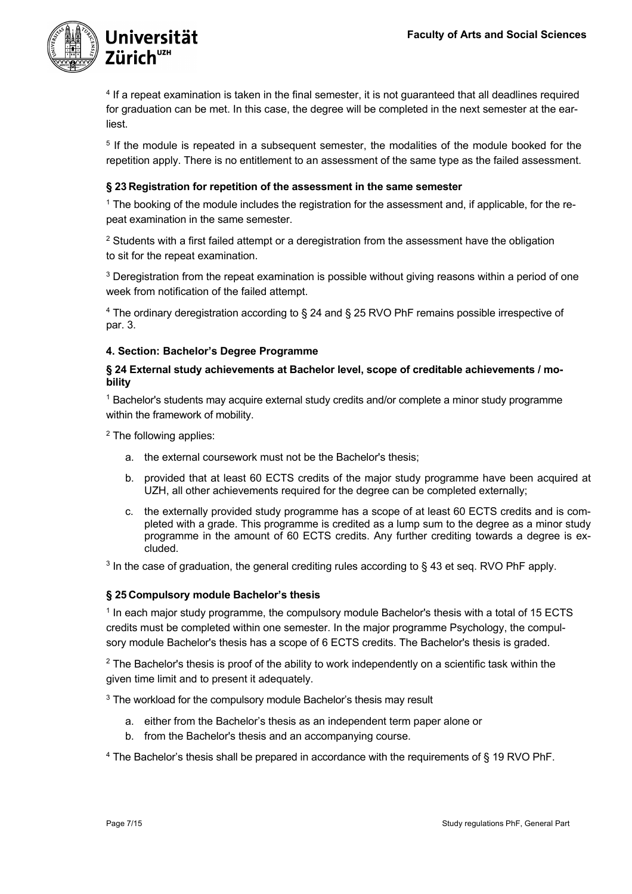

<sup>4</sup> If a repeat examination is taken in the final semester, it is not guaranteed that all deadlines required for graduation can be met. In this case, the degree will be completed in the next semester at the earliest.

<sup>5</sup> If the module is repeated in a subsequent semester, the modalities of the module booked for the repetition apply. There is no entitlement to an assessment of the same type as the failed assessment.

# **§ 23 Registration for repetition of the assessment in the same semester**

<sup>1</sup> The booking of the module includes the registration for the assessment and, if applicable, for the repeat examination in the same semester.

 $2$  Students with a first failed attempt or a deregistration from the assessment have the obligation to sit for the repeat examination.

<sup>3</sup> Deregistration from the repeat examination is possible without giving reasons within a period of one week from notification of the failed attempt.

<sup>4</sup> The ordinary deregistration according to § 24 and § 25 RVO PhF remains possible irrespective of par. 3.

#### **4. Section: Bachelor's Degree Programme**

#### **§ 24 External study achievements at Bachelor level, scope of creditable achievements / mobility**

<sup>1</sup> Bachelor's students may acquire external study credits and/or complete a minor study programme within the framework of mobility.

<sup>2</sup> The following applies:

- a. the external coursework must not be the Bachelor's thesis;
- b. provided that at least 60 ECTS credits of the major study programme have been acquired at UZH, all other achievements required for the degree can be completed externally;
- c. the externally provided study programme has a scope of at least 60 ECTS credits and is completed with a grade. This programme is credited as a lump sum to the degree as a minor study programme in the amount of 60 ECTS credits. Any further crediting towards a degree is excluded.

 $3$  In the case of graduation, the general crediting rules according to  $\S$  43 et seq. RVO PhF apply.

# **§ 25 Compulsory module Bachelor's thesis**

<sup>1</sup> In each major study programme, the compulsory module Bachelor's thesis with a total of 15 ECTS credits must be completed within one semester. In the major programme Psychology, the compulsory module Bachelor's thesis has a scope of 6 ECTS credits. The Bachelor's thesis is graded.

<sup>2</sup> The Bachelor's thesis is proof of the ability to work independently on a scientific task within the given time limit and to present it adequately.

<sup>3</sup> The workload for the compulsory module Bachelor's thesis may result

- a. either from the Bachelor's thesis as an independent term paper alone or
- b. from the Bachelor's thesis and an accompanying course.

 $4$  The Bachelor's thesis shall be prepared in accordance with the requirements of § 19 RVO PhF.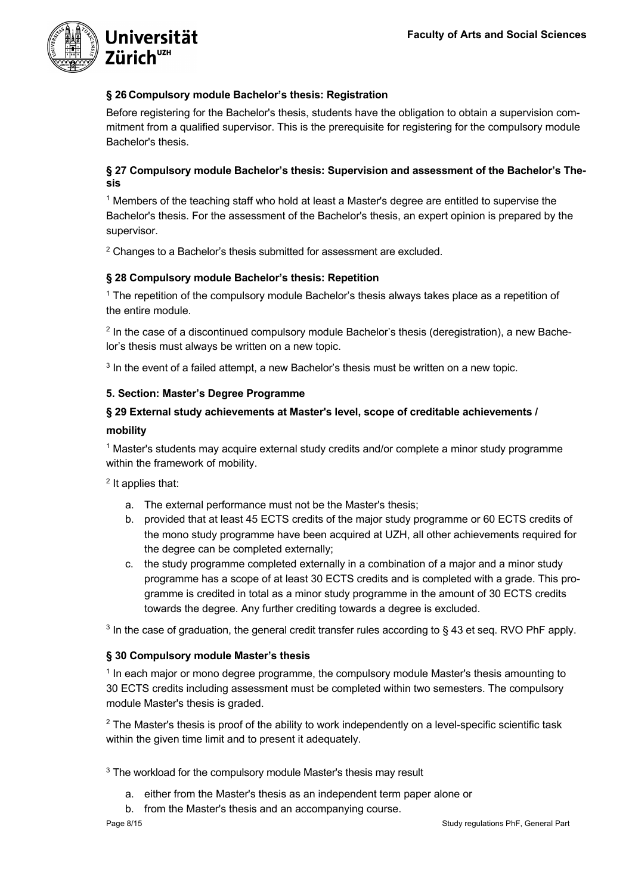

# **§ 26 Compulsory module Bachelor's thesis: Registration**

Before registering for the Bachelor's thesis, students have the obligation to obtain a supervision commitment from a qualified supervisor. This is the prerequisite for registering for the compulsory module Bachelor's thesis.

# **§ 27 Compulsory module Bachelor's thesis: Supervision and assessment of the Bachelor's Thesis**

<sup>1</sup> Members of the teaching staff who hold at least a Master's degree are entitled to supervise the Bachelor's thesis. For the assessment of the Bachelor's thesis, an expert opinion is prepared by the supervisor.

<sup>2</sup> Changes to a Bachelor's thesis submitted for assessment are excluded.

# **§ 28 Compulsory module Bachelor's thesis: Repetition**

<sup>1</sup> The repetition of the compulsory module Bachelor's thesis always takes place as a repetition of the entire module.

 $<sup>2</sup>$  In the case of a discontinued compulsory module Bachelor's thesis (deregistration), a new Bache-</sup> lor's thesis must always be written on a new topic.

 $3$  In the event of a failed attempt, a new Bachelor's thesis must be written on a new topic.

# **5. Section: Master's Degree Programme**

# **§ 29 External study achievements at Master's level, scope of creditable achievements /**

#### **mobility**

<sup>1</sup> Master's students may acquire external study credits and/or complete a minor study programme within the framework of mobility.

<sup>2</sup> It applies that:

- a. The external performance must not be the Master's thesis;
- b. provided that at least 45 ECTS credits of the major study programme or 60 ECTS credits of the mono study programme have been acquired at UZH, all other achievements required for the degree can be completed externally;
- c. the study programme completed externally in a combination of a major and a minor study programme has a scope of at least 30 ECTS credits and is completed with a grade. This programme is credited in total as a minor study programme in the amount of 30 ECTS credits towards the degree. Any further crediting towards a degree is excluded.

<sup>3</sup> In the case of graduation, the general credit transfer rules according to § 43 et seq. RVO PhF apply.

# **§ 30 Compulsory module Master's thesis**

<sup>1</sup> In each major or mono degree programme, the compulsory module Master's thesis amounting to 30 ECTS credits including assessment must be completed within two semesters. The compulsory module Master's thesis is graded.

<sup>2</sup> The Master's thesis is proof of the ability to work independently on a level-specific scientific task within the given time limit and to present it adequately.

 $3$  The workload for the compulsory module Master's thesis may result

- a. either from the Master's thesis as an independent term paper alone or
- b. from the Master's thesis and an accompanying course.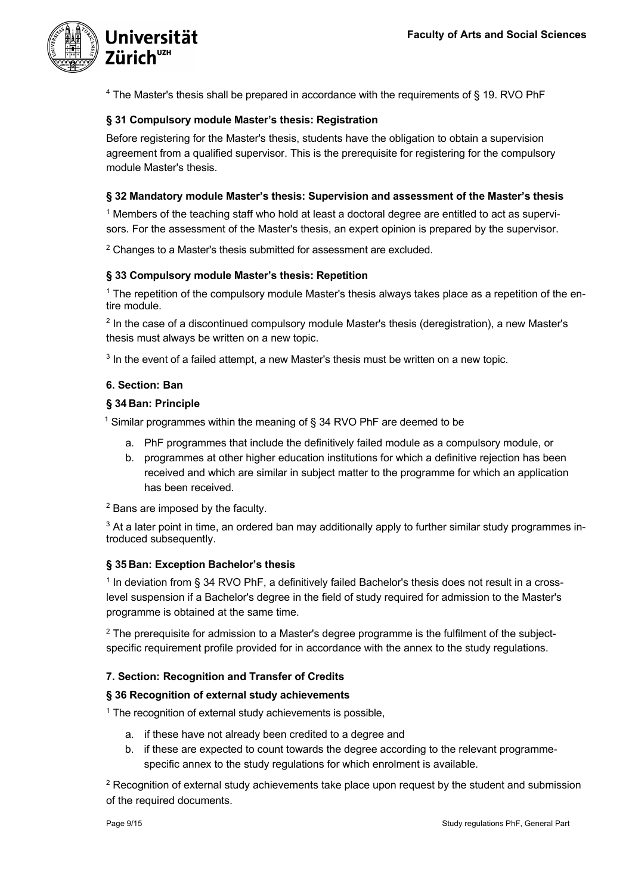

 $4$  The Master's thesis shall be prepared in accordance with the requirements of § 19. RVO PhF

# **§ 31 Compulsory module Master's thesis: Registration**

Before registering for the Master's thesis, students have the obligation to obtain a supervision agreement from a qualified supervisor. This is the prerequisite for registering for the compulsory module Master's thesis.

# **§ 32 Mandatory module Master's thesis: Supervision and assessment of the Master's thesis**

<sup>1</sup> Members of the teaching staff who hold at least a doctoral degree are entitled to act as supervisors. For the assessment of the Master's thesis, an expert opinion is prepared by the supervisor.

 $2$  Changes to a Master's thesis submitted for assessment are excluded.

# **§ 33 Compulsory module Master's thesis: Repetition**

<sup>1</sup> The repetition of the compulsory module Master's thesis always takes place as a repetition of the entire module.

<sup>2</sup> In the case of a discontinued compulsory module Master's thesis (deregistration), a new Master's thesis must always be written on a new topic.

<sup>3</sup> In the event of a failed attempt, a new Master's thesis must be written on a new topic.

# **6. Section: Ban**

# **§ 34 Ban: Principle**

<sup>1</sup> Similar programmes within the meaning of § 34 RVO PhF are deemed to be

- a. PhF programmes that include the definitively failed module as a compulsory module, or
- b. programmes at other higher education institutions for which a definitive rejection has been received and which are similar in subject matter to the programme for which an application has been received.

<sup>2</sup> Bans are imposed by the faculty.

<sup>3</sup> At a later point in time, an ordered ban may additionally apply to further similar study programmes introduced subsequently.

# **§ 35 Ban: Exception Bachelor's thesis**

<sup>1</sup> In deviation from § 34 RVO PhF, a definitively failed Bachelor's thesis does not result in a crosslevel suspension if a Bachelor's degree in the field of study required for admission to the Master's programme is obtained at the same time.

<sup>2</sup> The prerequisite for admission to a Master's degree programme is the fulfilment of the subjectspecific requirement profile provided for in accordance with the annex to the study regulations.

# **7. Section: Recognition and Transfer of Credits**

# **§ 36 Recognition of external study achievements**

 $1$  The recognition of external study achievements is possible,

- a. if these have not already been credited to a degree and
- b. if these are expected to count towards the degree according to the relevant programmespecific annex to the study regulations for which enrolment is available.

 $2$  Recognition of external study achievements take place upon request by the student and submission of the required documents.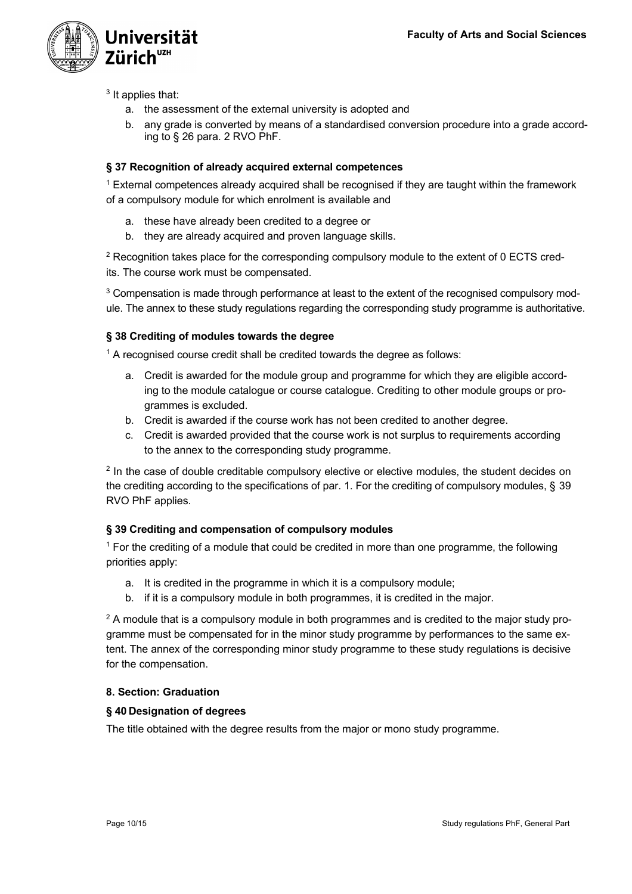

<sup>3</sup> It applies that:

- a. the assessment of the external university is adopted and
- b. any grade is converted by means of a standardised conversion procedure into a grade according to § 26 para. 2 RVO PhF.

# **§ 37 Recognition of already acquired external competences**

 $1$  External competences already acquired shall be recognised if they are taught within the framework of a compulsory module for which enrolment is available and

- a. these have already been credited to a degree or
- b. they are already acquired and proven language skills.

<sup>2</sup> Recognition takes place for the corresponding compulsory module to the extent of 0 ECTS credits. The course work must be compensated.

<sup>3</sup> Compensation is made through performance at least to the extent of the recognised compulsory module. The annex to these study regulations regarding the corresponding study programme is authoritative.

# **§ 38 Crediting of modules towards the degree**

<sup>1</sup> A recognised course credit shall be credited towards the degree as follows:

- a. Credit is awarded for the module group and programme for which they are eligible according to the module catalogue or course catalogue. Crediting to other module groups or programmes is excluded.
- b. Credit is awarded if the course work has not been credited to another degree.
- c. Credit is awarded provided that the course work is not surplus to requirements according to the annex to the corresponding study programme.

<sup>2</sup> In the case of double creditable compulsory elective or elective modules, the student decides on the crediting according to the specifications of par. 1. For the crediting of compulsory modules, § 39 RVO PhF applies.

# **§ 39 Crediting and compensation of compulsory modules**

 $1$  For the crediting of a module that could be credited in more than one programme, the following priorities apply:

- a. It is credited in the programme in which it is a compulsory module;
- b. if it is a compulsory module in both programmes, it is credited in the major.

<sup>2</sup> A module that is a compulsory module in both programmes and is credited to the major study programme must be compensated for in the minor study programme by performances to the same extent. The annex of the corresponding minor study programme to these study regulations is decisive for the compensation.

# **8. Section: Graduation**

# **§ 40 Designation of degrees**

The title obtained with the degree results from the major or mono study programme.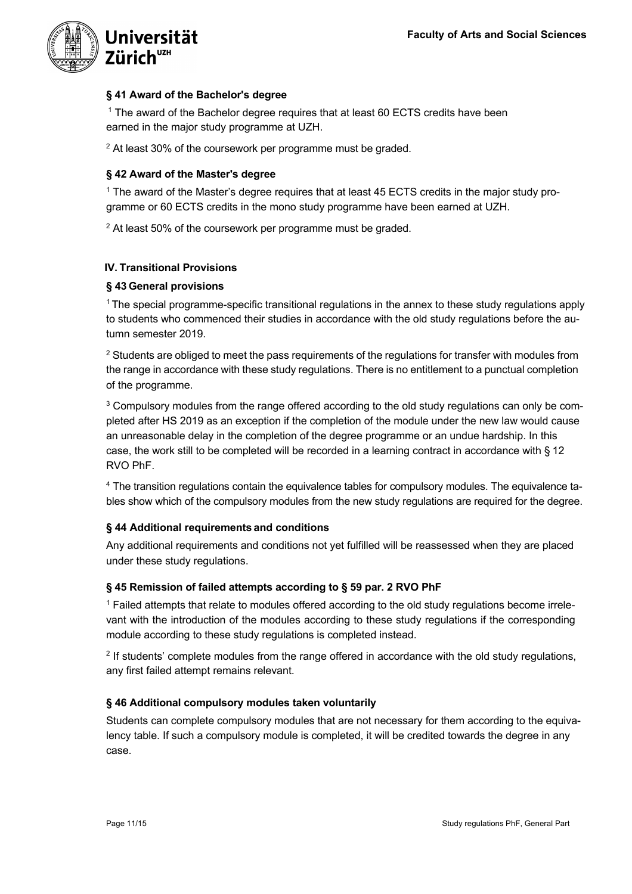

# **§ 41 Award of the Bachelor's degree**

<sup>1</sup> The award of the Bachelor degree requires that at least 60 ECTS credits have been earned in the major study programme at UZH.

 $2$  At least 30% of the coursework per programme must be graded.

# **§ 42 Award of the Master's degree**

<sup>1</sup> The award of the Master's degree requires that at least 45 ECTS credits in the major study programme or 60 ECTS credits in the mono study programme have been earned at UZH.

<sup>2</sup> At least 50% of the coursework per programme must be graded.

# **IV. Transitional Provisions**

# **§ 43 General provisions**

<sup>1</sup> The special programme-specific transitional regulations in the annex to these study regulations apply to students who commenced their studies in accordance with the old study regulations before the autumn semester 2019.

<sup>2</sup> Students are obliged to meet the pass requirements of the regulations for transfer with modules from the range in accordance with these study regulations. There is no entitlement to a punctual completion of the programme.

<sup>3</sup> Compulsory modules from the range offered according to the old study regulations can only be completed after HS 2019 as an exception if the completion of the module under the new law would cause an unreasonable delay in the completion of the degree programme or an undue hardship. In this case, the work still to be completed will be recorded in a learning contract in accordance with § 12 RVO PhF.

<sup>4</sup> The transition regulations contain the equivalence tables for compulsory modules. The equivalence tables show which of the compulsory modules from the new study regulations are required for the degree.

# **§ 44 Additional requirements and conditions**

Any additional requirements and conditions not yet fulfilled will be reassessed when they are placed under these study regulations.

# **§ 45 Remission of failed attempts according to § 59 par. 2 RVO PhF**

 $1$  Failed attempts that relate to modules offered according to the old study regulations become irrelevant with the introduction of the modules according to these study regulations if the corresponding module according to these study regulations is completed instead.

 $2$  If students' complete modules from the range offered in accordance with the old study regulations, any first failed attempt remains relevant.

# **§ 46 Additional compulsory modules taken voluntarily**

Students can complete compulsory modules that are not necessary for them according to the equivalency table. If such a compulsory module is completed, it will be credited towards the degree in any case.